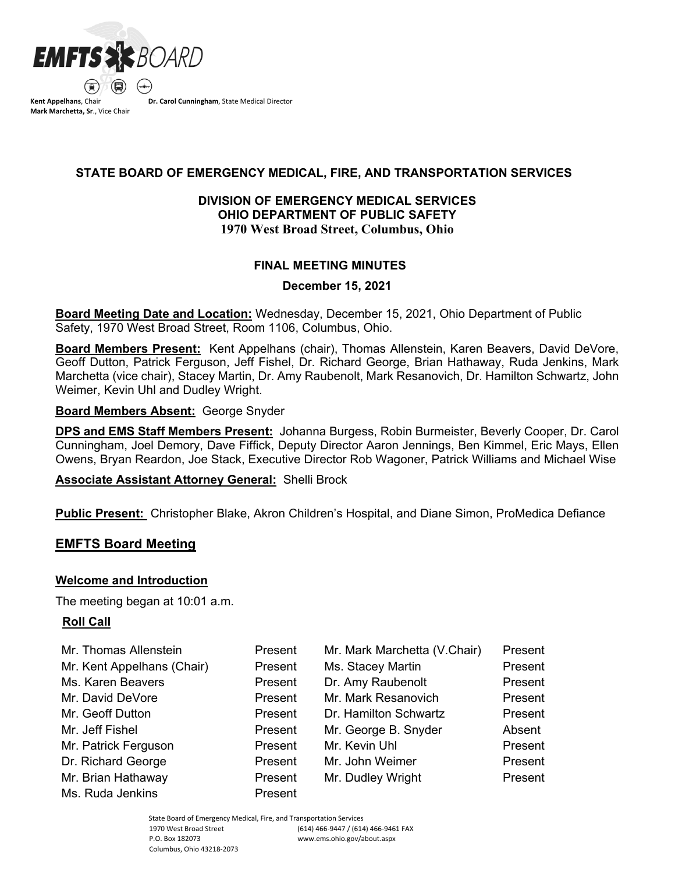

**Kent Appelhans**, Chair **Mark Marchetta, Sr**., Vice Chair **Dr. Carol Cunningham**, State Medical Director

## **STATE BOARD OF EMERGENCY MEDICAL, FIRE, AND TRANSPORTATION SERVICES**

## **DIVISION OF EMERGENCY MEDICAL SERVICES OHIO DEPARTMENT OF PUBLIC SAFETY 1970 West Broad Street, Columbus, Ohio**

### **FINAL MEETING MINUTES**

#### **December 15, 2021**

**Board Meeting Date and Location:** Wednesday, December 15, 2021, Ohio Department of Public Safety, 1970 West Broad Street, Room 1106, Columbus, Ohio.

**Board Members Present:** Kent Appelhans (chair), Thomas Allenstein, Karen Beavers, David DeVore, Geoff Dutton, Patrick Ferguson, Jeff Fishel, Dr. Richard George, Brian Hathaway, Ruda Jenkins, Mark Marchetta (vice chair), Stacey Martin, Dr. Amy Raubenolt, Mark Resanovich, Dr. Hamilton Schwartz, John Weimer, Kevin Uhl and Dudley Wright.

**Board Members Absent:** George Snyder

**DPS and EMS Staff Members Present:** Johanna Burgess, Robin Burmeister, Beverly Cooper, Dr. Carol Cunningham, Joel Demory, Dave Fiffick, Deputy Director Aaron Jennings, Ben Kimmel, Eric Mays, Ellen Owens, Bryan Reardon, Joe Stack, Executive Director Rob Wagoner, Patrick Williams and Michael Wise

**Associate Assistant Attorney General:** Shelli Brock

**Public Present:** Christopher Blake, Akron Children's Hospital, and Diane Simon, ProMedica Defiance

## **EMFTS Board Meeting**

#### **Welcome and Introduction**

The meeting began at 10:01 a.m.

## **Roll Call**

| Mr. Thomas Allenstein      | Present | Mr. Mark Marchetta (V.Chair) | Present |
|----------------------------|---------|------------------------------|---------|
| Mr. Kent Appelhans (Chair) | Present | Ms. Stacey Martin            | Present |
| Ms. Karen Beavers          | Present | Dr. Amy Raubenolt            | Present |
| Mr. David DeVore           | Present | Mr. Mark Resanovich          | Present |
| Mr. Geoff Dutton           | Present | Dr. Hamilton Schwartz        | Present |
| Mr. Jeff Fishel            | Present | Mr. George B. Snyder         | Absent  |
| Mr. Patrick Ferguson       | Present | Mr. Kevin Uhl                | Present |
| Dr. Richard George         | Present | Mr. John Weimer              | Present |
| Mr. Brian Hathaway         | Present | Mr. Dudley Wright            | Present |
| Ms. Ruda Jenkins           | Present |                              |         |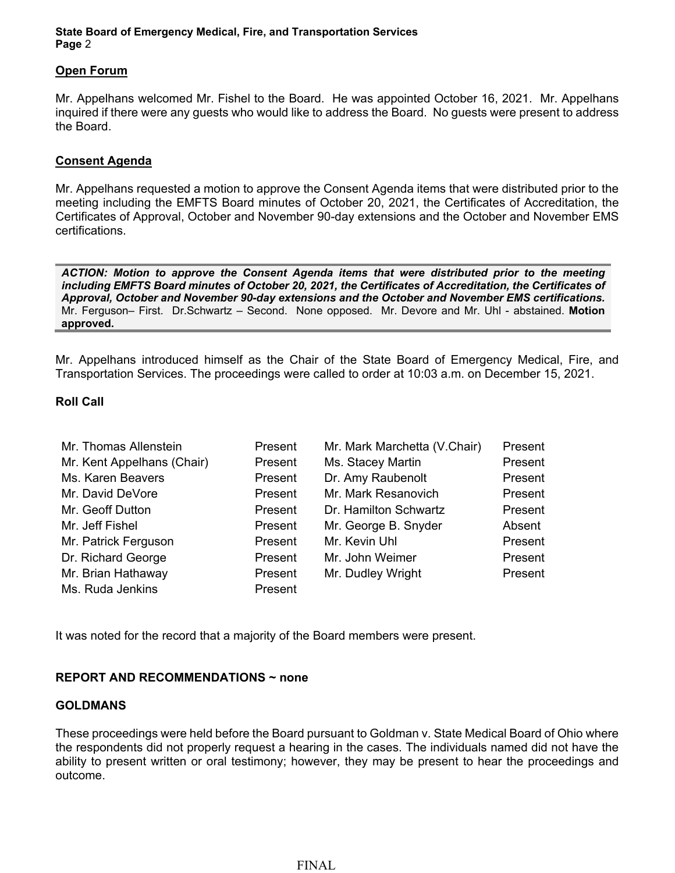#### **Open Forum**

Mr. Appelhans welcomed Mr. Fishel to the Board. He was appointed October 16, 2021. Mr. Appelhans inquired if there were any guests who would like to address the Board. No guests were present to address the Board.

#### **Consent Agenda**

Mr. Appelhans requested a motion to approve the Consent Agenda items that were distributed prior to the meeting including the EMFTS Board minutes of October 20, 2021, the Certificates of Accreditation, the Certificates of Approval, October and November 90-day extensions and the October and November EMS certifications.

*ACTION: Motion to approve the Consent Agenda items that were distributed prior to the meeting including EMFTS Board minutes of October 20, 2021, the Certificates of Accreditation, the Certificates of Approval, October and November 90-day extensions and the October and November EMS certifications.*  Mr. Ferguson– First. Dr.Schwartz – Second. None opposed. Mr. Devore and Mr. Uhl - abstained. **Motion approved.**

Mr. Appelhans introduced himself as the Chair of the State Board of Emergency Medical, Fire, and Transportation Services. The proceedings were called to order at 10:03 a.m. on December 15, 2021.

#### **Roll Call**

| Mr. Thomas Allenstein      | Present | Mr. Mark Marchetta (V.Chair) | Present |
|----------------------------|---------|------------------------------|---------|
| Mr. Kent Appelhans (Chair) | Present | Ms. Stacey Martin            | Present |
| Ms. Karen Beavers          | Present | Dr. Amy Raubenolt            | Present |
| Mr. David DeVore           | Present | Mr. Mark Resanovich          | Present |
| Mr. Geoff Dutton           | Present | Dr. Hamilton Schwartz        | Present |
| Mr. Jeff Fishel            | Present | Mr. George B. Snyder         | Absent  |
| Mr. Patrick Ferguson       | Present | Mr. Kevin Uhl                | Present |
| Dr. Richard George         | Present | Mr. John Weimer              | Present |
| Mr. Brian Hathaway         | Present | Mr. Dudley Wright            | Present |
| Ms. Ruda Jenkins           | Present |                              |         |

It was noted for the record that a majority of the Board members were present.

#### **REPORT AND RECOMMENDATIONS ~ none**

#### **GOLDMANS**

These proceedings were held before the Board pursuant to Goldman v. State Medical Board of Ohio where the respondents did not properly request a hearing in the cases. The individuals named did not have the ability to present written or oral testimony; however, they may be present to hear the proceedings and outcome.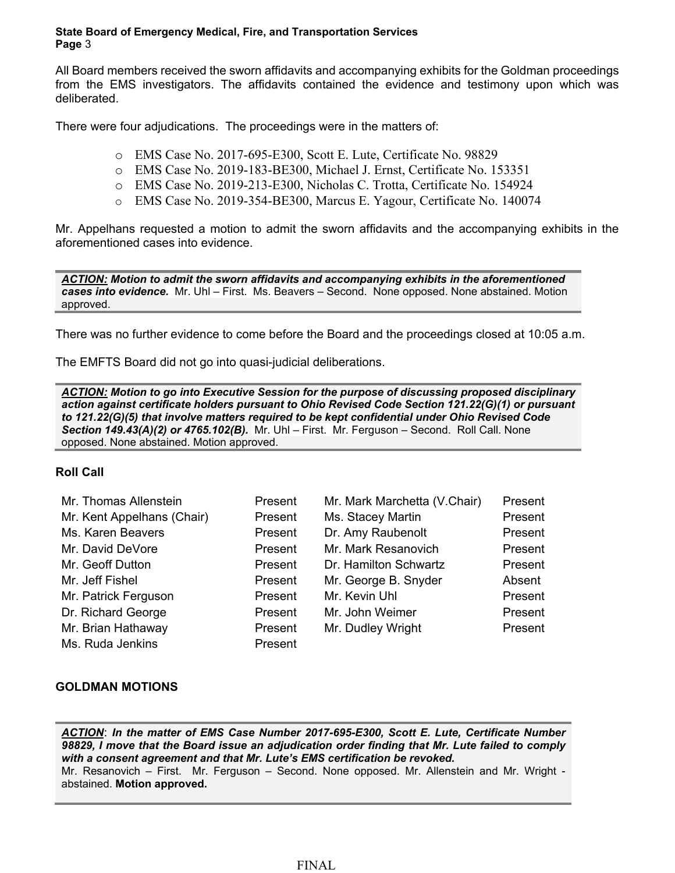All Board members received the sworn affidavits and accompanying exhibits for the Goldman proceedings from the EMS investigators. The affidavits contained the evidence and testimony upon which was deliberated.

There were four adjudications. The proceedings were in the matters of:

- o EMS Case No. 2017-695-E300, Scott E. Lute, Certificate No. 98829
- o EMS Case No. 2019-183-BE300, Michael J. Ernst, Certificate No. 153351
- o EMS Case No. 2019-213-E300, Nicholas C. Trotta, Certificate No. 154924
- o EMS Case No. 2019-354-BE300, Marcus E. Yagour, Certificate No. 140074

Mr. Appelhans requested a motion to admit the sworn affidavits and the accompanying exhibits in the aforementioned cases into evidence.

*ACTION: Motion to admit the sworn affidavits and accompanying exhibits in the aforementioned cases into evidence.* Mr. Uhl – First. Ms. Beavers – Second. None opposed. None abstained. Motion approved.

There was no further evidence to come before the Board and the proceedings closed at 10:05 a.m.

The EMFTS Board did not go into quasi-judicial deliberations.

*ACTION: Motion to go into Executive Session for the purpose of discussing proposed disciplinary action against certificate holders pursuant to Ohio Revised Code Section 121.22(G)(1) or pursuant to 121.22(G)(5) that involve matters required to be kept confidential under Ohio Revised Code Section 149.43(A)(2) or 4765.102(B).* Mr. Uhl – First. Mr. Ferguson – Second. Roll Call. None opposed. None abstained. Motion approved.

#### **Roll Call**

| Mr. Thomas Allenstein      | Present | Mr. Mark Marchetta (V.Chair) | Present |
|----------------------------|---------|------------------------------|---------|
| Mr. Kent Appelhans (Chair) | Present | Ms. Stacey Martin            | Present |
| Ms. Karen Beavers          | Present | Dr. Amy Raubenolt            | Present |
| Mr. David DeVore           | Present | Mr. Mark Resanovich          | Present |
| Mr. Geoff Dutton           | Present | Dr. Hamilton Schwartz        | Present |
| Mr. Jeff Fishel            | Present | Mr. George B. Snyder         | Absent  |
| Mr. Patrick Ferguson       | Present | Mr. Kevin Uhl                | Present |
| Dr. Richard George         | Present | Mr. John Weimer              | Present |
| Mr. Brian Hathaway         | Present | Mr. Dudley Wright            | Present |
| Ms. Ruda Jenkins           | Present |                              |         |

#### **GOLDMAN MOTIONS**

*ACTION*: *In the matter of EMS Case Number 2017-695-E300, Scott E. Lute, Certificate Number 98829, I move that the Board issue an adjudication order finding that Mr. Lute failed to comply with a consent agreement and that Mr. Lute's EMS certification be revoked.* Mr. Resanovich – First. Mr. Ferguson – Second. None opposed. Mr. Allenstein and Mr. Wright abstained. **Motion approved.**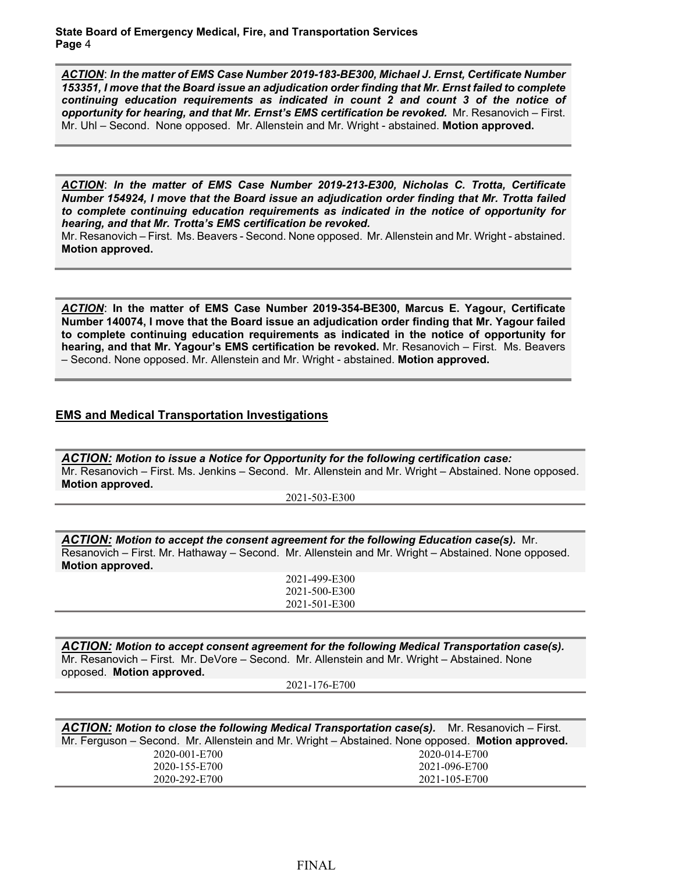*ACTION*: *In the matter of EMS Case Number 2019-183-BE300, Michael J. Ernst, Certificate Number 153351, I move that the Board issue an adjudication order finding that Mr. Ernst failed to complete continuing education requirements as indicated in count 2 and count 3 of the notice of opportunity for hearing, and that Mr. Ernst's EMS certification be revoked.* Mr. Resanovich – First. Mr. Uhl – Second. None opposed. Mr. Allenstein and Mr. Wright - abstained. **Motion approved.**

*ACTION*: *In the matter of EMS Case Number 2019-213-E300, Nicholas C. Trotta, Certificate Number 154924, I move that the Board issue an adjudication order finding that Mr. Trotta failed to complete continuing education requirements as indicated in the notice of opportunity for hearing, and that Mr. Trotta's EMS certification be revoked.*

Mr. Resanovich – First. Ms. Beavers - Second. None opposed. Mr. Allenstein and Mr. Wright - abstained. **Motion approved.**

*ACTION*: **In the matter of EMS Case Number 2019-354-BE300, Marcus E. Yagour, Certificate Number 140074, I move that the Board issue an adjudication order finding that Mr. Yagour failed to complete continuing education requirements as indicated in the notice of opportunity for hearing, and that Mr. Yagour's EMS certification be revoked.** Mr. Resanovich – First. Ms. Beavers – Second. None opposed. Mr. Allenstein and Mr. Wright - abstained. **Motion approved.**

### **EMS and Medical Transportation Investigations**

*ACTION: Motion to issue a Notice for Opportunity for the following certification case:*  Mr. Resanovich – First. Ms. Jenkins – Second. Mr. Allenstein and Mr. Wright – Abstained. None opposed. **Motion approved.**

2021-503-E300

*ACTION: Motion to accept the consent agreement for the following Education case(s).* Mr. Resanovich – First. Mr. Hathaway – Second. Mr. Allenstein and Mr. Wright – Abstained. None opposed. **Motion approved.**

2021-499-E300 2021-500-E300 2021-501-E300

*ACTION: Motion to accept consent agreement for the following Medical Transportation case(s).*  Mr. Resanovich – First. Mr. DeVore – Second. Mr. Allenstein and Mr. Wright – Abstained. None opposed. **Motion approved.**

2021-176-E700

| ACTION: Motion to close the following Medical Transportation case(s). Mr. Resanovich – First.    |               |  |
|--------------------------------------------------------------------------------------------------|---------------|--|
| Mr. Ferguson – Second. Mr. Allenstein and Mr. Wright – Abstained. None opposed. Motion approved. |               |  |
| 2020-001-E700                                                                                    | 2020-014-E700 |  |
| 2020-155-E700                                                                                    | 2021-096-E700 |  |
| 2020-292-E700                                                                                    | 2021-105-E700 |  |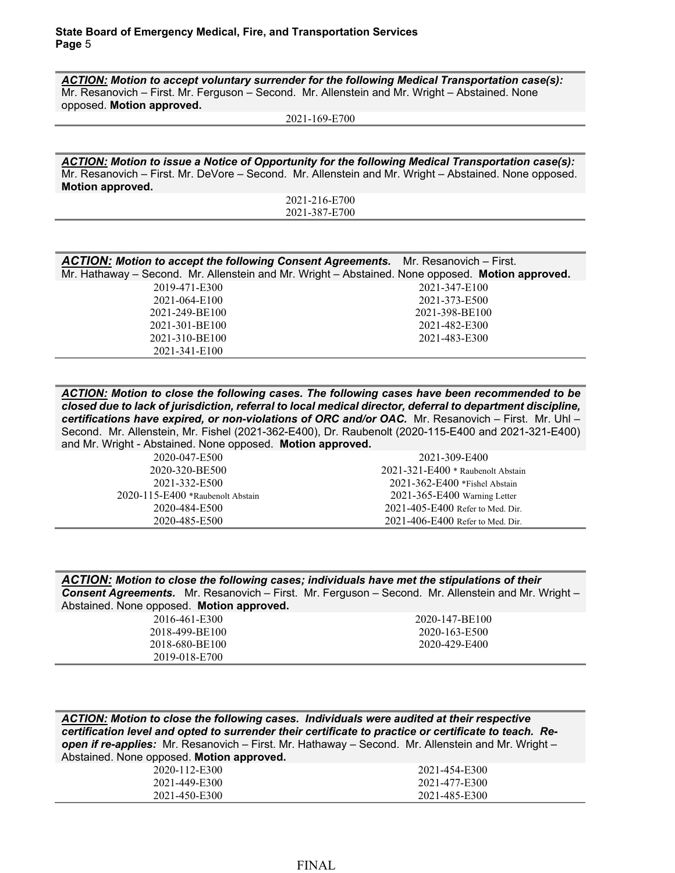*ACTION: Motion to accept voluntary surrender for the following Medical Transportation case(s):* Mr. Resanovich – First. Mr. Ferguson – Second. Mr. Allenstein and Mr. Wright – Abstained. None opposed. **Motion approved.**

2021-169-E700

*ACTION: Motion to issue a Notice of Opportunity for the following Medical Transportation case(s):* Mr. Resanovich – First. Mr. DeVore – Second. Mr. Allenstein and Mr. Wright – Abstained. None opposed. **Motion approved.**

2021-216-E700 2021-387-E700

| <b>ACTION:</b> Motion to accept the following Consent Agreements. Mr. Resanovich – First.        |                |  |
|--------------------------------------------------------------------------------------------------|----------------|--|
| Mr. Hathaway - Second. Mr. Allenstein and Mr. Wright - Abstained. None opposed. Motion approved. |                |  |
| 2019-471-E300                                                                                    | 2021-347-E100  |  |
| 2021-064-E100                                                                                    | 2021-373-E500  |  |
| 2021-249-BE100                                                                                   | 2021-398-BE100 |  |
| 2021-301-BE100                                                                                   | 2021-482-E300  |  |
| 2021-310-BE100                                                                                   | 2021-483-E300  |  |
| 2021-341-E100                                                                                    |                |  |

*ACTION: Motion to close the following cases. The following cases have been recommended to be closed due to lack of jurisdiction, referral to local medical director, deferral to department discipline, certifications have expired, or non-violations of ORC and/or OAC.* Mr. Resanovich – First. Mr. Uhl – Second. Mr. Allenstein, Mr. Fishel (2021-362-E400), Dr. Raubenolt (2020-115-E400 and 2021-321-E400) and Mr. Wright - Abstained. None opposed. **Motion approved.**

> 2020-047-E500 2020-320-BE500 2021-332-E500 2020-115-E400 \*Raubenolt Abstain 2020-484-E500 2020-485-E500

2021-309-E400 2021-321-E400 \* Raubenolt Abstain 2021-362-E400 \*Fishel Abstain 2021-365-E400 Warning Letter 2021-405-E400 Refer to Med. Dir. 2021-406-E400 Refer to Med. Dir.

*ACTION: Motion to close the following cases; individuals have met the stipulations of their Consent Agreements.* Mr. Resanovich – First. Mr. Ferguson – Second. Mr. Allenstein and Mr. Wright – Abstained. None opposed. **Motion approved.**

| 2016-461-E300  | 2020-147-BE100 |
|----------------|----------------|
| 2018-499-BE100 | 2020-163-E500  |
| 2018-680-BE100 | 2020-429-E400  |
| 2019-018-E700  |                |

*ACTION: Motion to close the following cases. Individuals were audited at their respective certification level and opted to surrender their certificate to practice or certificate to teach. Reopen if re-applies:* Mr. Resanovich – First. Mr. Hathaway – Second. Mr. Allenstein and Mr. Wright – Abstained. None opposed. **Motion approved.**

| 12-E300<br>2020-11<br>$\sim$ | .<br>2021-454-E300               |
|------------------------------|----------------------------------|
| E300<br>2021-449-E           | $1 - 477$<br>7-E300<br>2021      |
| E300<br>2021<br>$1-450-$     | $1 - 485$<br>E300<br>202<br>7- F |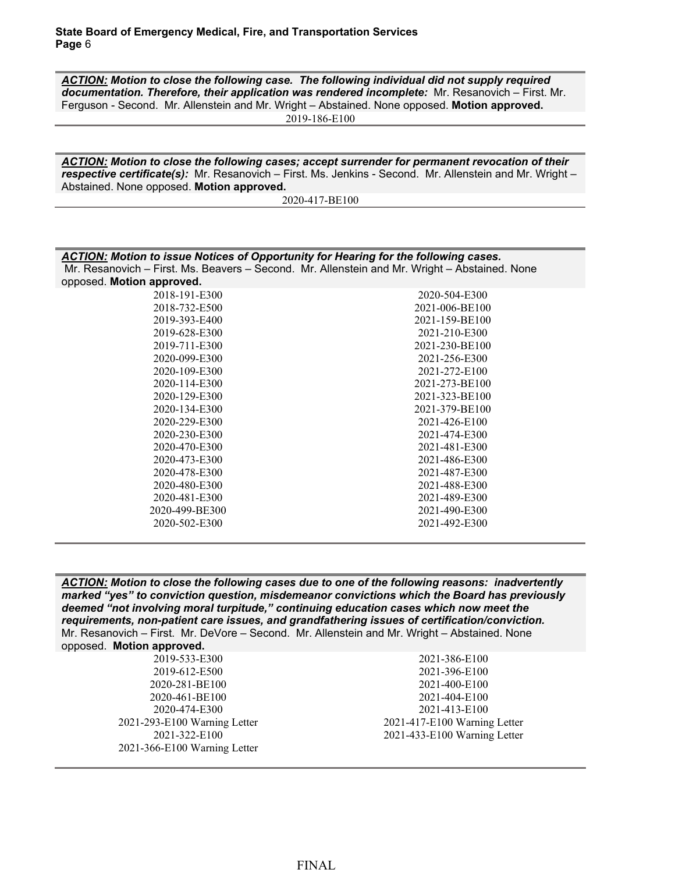2020-134-E300 2020-229-E300 2020-230-E300 2020-470-E300 2020-473-E300 2020-478-E300 2020-480-E300 2020-481-E300 2020-499-BE300 2020-502-E300

*ACTION: Motion to close the following case. The following individual did not supply required documentation. Therefore, their application was rendered incomplete:* Mr. Resanovich – First. Mr. Ferguson - Second. Mr. Allenstein and Mr. Wright – Abstained. None opposed. **Motion approved.** 2019-186-E100

*ACTION: Motion to close the following cases; accept surrender for permanent revocation of their respective certificate(s):* Mr. Resanovich – First. Ms. Jenkins - Second. Mr. Allenstein and Mr. Wright – Abstained. None opposed. **Motion approved.**

2020-417-BE100

| ACTION: Motion to issue Notices of Opportunity for Hearing for the following cases.<br>Mr. Resanovich - First. Ms. Beavers - Second. Mr. Allenstein and Mr. Wright - Abstained. None<br>opposed. Motion approved. |                |  |
|-------------------------------------------------------------------------------------------------------------------------------------------------------------------------------------------------------------------|----------------|--|
| 2018-191-E300                                                                                                                                                                                                     | 2020-504-E300  |  |
| 2018-732-E500                                                                                                                                                                                                     | 2021-006-BE100 |  |
| 2019-393-E400                                                                                                                                                                                                     | 2021-159-BE100 |  |
| 2019-628-E300                                                                                                                                                                                                     | 2021-210-E300  |  |
| 2019-711-E300                                                                                                                                                                                                     | 2021-230-BE100 |  |
| 2020-099-E300                                                                                                                                                                                                     | 2021-256-E300  |  |
| 2020-109-E300                                                                                                                                                                                                     | 2021-272-E100  |  |
| 2020-114-E300                                                                                                                                                                                                     | 2021-273-BE100 |  |
| 2020-129-E300                                                                                                                                                                                                     | 2021-323-BE100 |  |

2021-379-BE100 2021-426-E100 2021-474-E300 2021-481-E300 2021-486-E300 2021-487-E300 2021-488-E300 2021-489-E300 2021-490-E300 2021-492-E300

| ACTION: Motion to close the following cases due to one of the following reasons: inadvertently |  |  |  |
|------------------------------------------------------------------------------------------------|--|--|--|
| marked "yes" to conviction question, misdemeanor convictions which the Board has previously    |  |  |  |
| deemed "not involving moral turpitude," continuing education cases which now meet the          |  |  |  |
| requirements, non-patient care issues, and grandfathering issues of certification/conviction.  |  |  |  |
| Mr. Resanovich – First. Mr. DeVore – Second. Mr. Allenstein and Mr. Wright – Abstained. None   |  |  |  |
| opposed <b>Motion approved</b>                                                                 |  |  |  |

| oppoodd. Monon approval      |                              |
|------------------------------|------------------------------|
| 2019-533-E300                | 2021-386-E100                |
| 2019-612-E500                | 2021-396-E100                |
| 2020-281-BE100               | 2021-400-E100                |
| 2020-461-BE100               | 2021-404-E100                |
| 2020-474-E300                | 2021-413-E100                |
| 2021-293-E100 Warning Letter | 2021-417-E100 Warning Letter |
| 2021-322-E100                | 2021-433-E100 Warning Letter |
| 2021-366-E100 Warning Letter |                              |
|                              |                              |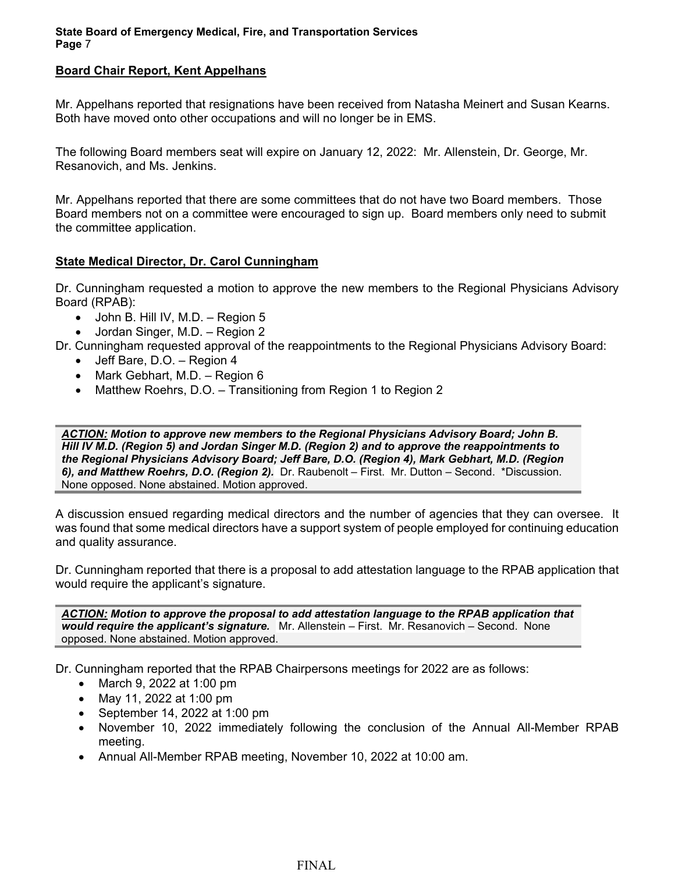### **Board Chair Report, Kent Appelhans**

Mr. Appelhans reported that resignations have been received from Natasha Meinert and Susan Kearns. Both have moved onto other occupations and will no longer be in EMS.

The following Board members seat will expire on January 12, 2022: Mr. Allenstein, Dr. George, Mr. Resanovich, and Ms. Jenkins.

Mr. Appelhans reported that there are some committees that do not have two Board members. Those Board members not on a committee were encouraged to sign up. Board members only need to submit the committee application.

### **State Medical Director, Dr. Carol Cunningham**

Dr. Cunningham requested a motion to approve the new members to the Regional Physicians Advisory Board (RPAB):

- $\bullet$  John B. Hill IV, M.D. Region 5
- Jordan Singer, M.D. Region 2

Dr. Cunningham requested approval of the reappointments to the Regional Physicians Advisory Board:

- Jeff Bare, D.O. Region 4
- Mark Gebhart, M.D. Region 6
- Matthew Roehrs, D.O. Transitioning from Region 1 to Region 2

*ACTION: Motion to approve new members to the Regional Physicians Advisory Board; John B. Hill IV M.D. (Region 5) and Jordan Singer M.D. (Region 2) and to approve the reappointments to the Regional Physicians Advisory Board; Jeff Bare, D.O. (Region 4), Mark Gebhart, M.D. (Region 6), and Matthew Roehrs, D.O. (Region 2).* Dr. Raubenolt – First. Mr. Dutton – Second. \*Discussion. None opposed. None abstained. Motion approved.

A discussion ensued regarding medical directors and the number of agencies that they can oversee. It was found that some medical directors have a support system of people employed for continuing education and quality assurance.

Dr. Cunningham reported that there is a proposal to add attestation language to the RPAB application that would require the applicant's signature.

*ACTION: Motion to approve the proposal to add attestation language to the RPAB application that would require the applicant's signature.* Mr. Allenstein – First. Mr. Resanovich – Second. None opposed. None abstained. Motion approved.

Dr. Cunningham reported that the RPAB Chairpersons meetings for 2022 are as follows:

- March 9, 2022 at 1:00 pm
- May 11, 2022 at 1:00 pm
- September 14, 2022 at 1:00 pm
- November 10, 2022 immediately following the conclusion of the Annual All-Member RPAB meeting.
- Annual All-Member RPAB meeting, November 10, 2022 at 10:00 am.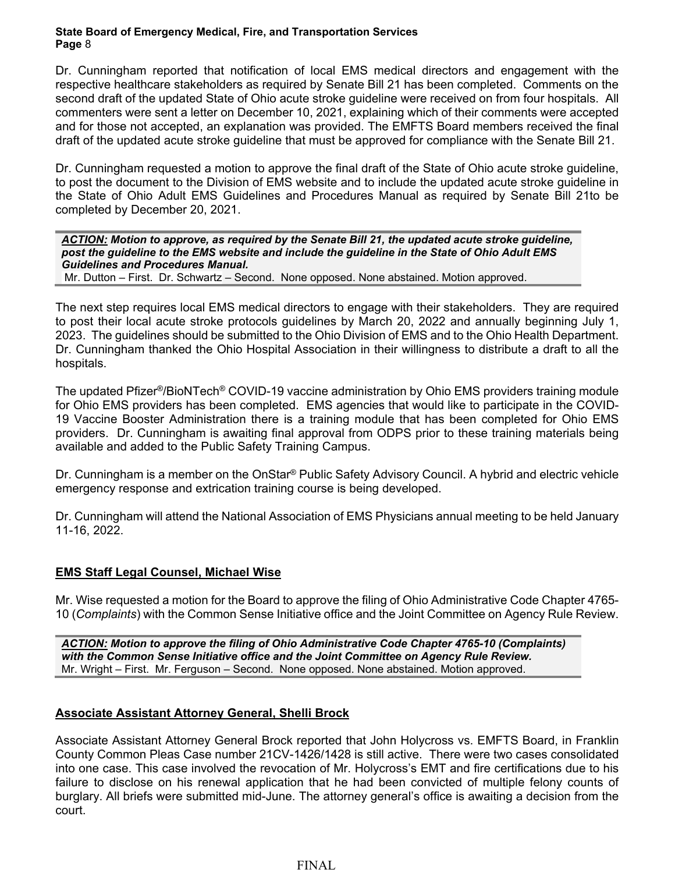Dr. Cunningham reported that notification of local EMS medical directors and engagement with the respective healthcare stakeholders as required by Senate Bill 21 has been completed. Comments on the second draft of the updated State of Ohio acute stroke guideline were received on from four hospitals. All commenters were sent a letter on December 10, 2021, explaining which of their comments were accepted and for those not accepted, an explanation was provided. The EMFTS Board members received the final draft of the updated acute stroke guideline that must be approved for compliance with the Senate Bill 21.

Dr. Cunningham requested a motion to approve the final draft of the State of Ohio acute stroke guideline, to post the document to the Division of EMS website and to include the updated acute stroke guideline in the State of Ohio Adult EMS Guidelines and Procedures Manual as required by Senate Bill 21to be completed by December 20, 2021.

*ACTION: Motion to approve, as required by the Senate Bill 21, the updated acute stroke guideline, post the guideline to the EMS website and include the guideline in the State of Ohio Adult EMS Guidelines and Procedures Manual.* Mr. Dutton – First. Dr. Schwartz – Second. None opposed. None abstained. Motion approved.

The next step requires local EMS medical directors to engage with their stakeholders. They are required to post their local acute stroke protocols guidelines by March 20, 2022 and annually beginning July 1, 2023. The guidelines should be submitted to the Ohio Division of EMS and to the Ohio Health Department. Dr. Cunningham thanked the Ohio Hospital Association in their willingness to distribute a draft to all the hospitals.

The updated Pfizer®/BioNTech® COVID-19 vaccine administration by Ohio EMS providers training module for Ohio EMS providers has been completed. EMS agencies that would like to participate in the COVID-19 Vaccine Booster Administration there is a training module that has been completed for Ohio EMS providers. Dr. Cunningham is awaiting final approval from ODPS prior to these training materials being available and added to the Public Safety Training Campus.

Dr. Cunningham is a member on the OnStar® Public Safety Advisory Council. A hybrid and electric vehicle emergency response and extrication training course is being developed.

Dr. Cunningham will attend the National Association of EMS Physicians annual meeting to be held January 11-16, 2022.

## **EMS Staff Legal Counsel, Michael Wise**

Mr. Wise requested a motion for the Board to approve the filing of Ohio Administrative Code Chapter 4765- 10 (*Complaints*) with the Common Sense Initiative office and the Joint Committee on Agency Rule Review.

*ACTION: Motion to approve the filing of Ohio Administrative Code Chapter 4765-10 (Complaints) with the Common Sense Initiative office and the Joint Committee on Agency Rule Review.*  Mr. Wright – First. Mr. Ferguson – Second. None opposed. None abstained. Motion approved.

# **Associate Assistant Attorney General, Shelli Brock**

Associate Assistant Attorney General Brock reported that John Holycross vs. EMFTS Board, in Franklin County Common Pleas Case number 21CV-1426/1428 is still active. There were two cases consolidated into one case. This case involved the revocation of Mr. Holycross's EMT and fire certifications due to his failure to disclose on his renewal application that he had been convicted of multiple felony counts of burglary. All briefs were submitted mid-June. The attorney general's office is awaiting a decision from the court.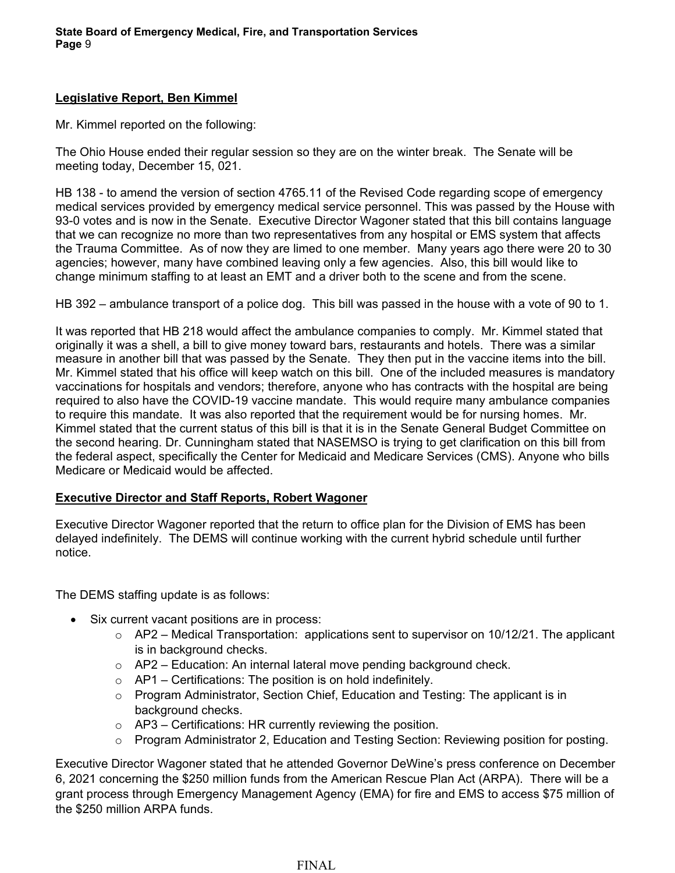## **Legislative Report, Ben Kimmel**

Mr. Kimmel reported on the following:

The Ohio House ended their regular session so they are on the winter break. The Senate will be meeting today, December 15, 021.

HB 138 - to amend the version of section 4765.11 of the Revised Code regarding scope of emergency medical services provided by emergency medical service personnel. This was passed by the House with 93-0 votes and is now in the Senate. Executive Director Wagoner stated that this bill contains language that we can recognize no more than two representatives from any hospital or EMS system that affects the Trauma Committee. As of now they are limed to one member. Many years ago there were 20 to 30 agencies; however, many have combined leaving only a few agencies. Also, this bill would like to change minimum staffing to at least an EMT and a driver both to the scene and from the scene.

HB 392 – ambulance transport of a police dog. This bill was passed in the house with a vote of 90 to 1.

It was reported that HB 218 would affect the ambulance companies to comply. Mr. Kimmel stated that originally it was a shell, a bill to give money toward bars, restaurants and hotels. There was a similar measure in another bill that was passed by the Senate. They then put in the vaccine items into the bill. Mr. Kimmel stated that his office will keep watch on this bill. One of the included measures is mandatory vaccinations for hospitals and vendors; therefore, anyone who has contracts with the hospital are being required to also have the COVID-19 vaccine mandate. This would require many ambulance companies to require this mandate. It was also reported that the requirement would be for nursing homes. Mr. Kimmel stated that the current status of this bill is that it is in the Senate General Budget Committee on the second hearing. Dr. Cunningham stated that NASEMSO is trying to get clarification on this bill from the federal aspect, specifically the Center for Medicaid and Medicare Services (CMS). Anyone who bills Medicare or Medicaid would be affected.

## **Executive Director and Staff Reports, Robert Wagoner**

Executive Director Wagoner reported that the return to office plan for the Division of EMS has been delayed indefinitely. The DEMS will continue working with the current hybrid schedule until further notice.

The DEMS staffing update is as follows:

- Six current vacant positions are in process:
	- $\circ$  AP2 Medical Transportation: applications sent to supervisor on 10/12/21. The applicant is in background checks.
	- o AP2 Education: An internal lateral move pending background check.
	- $\circ$  AP1 Certifications: The position is on hold indefinitely.
	- $\circ$  Program Administrator, Section Chief, Education and Testing: The applicant is in background checks.
	- $\circ$  AP3 Certifications: HR currently reviewing the position.
	- o Program Administrator 2, Education and Testing Section: Reviewing position for posting.

Executive Director Wagoner stated that he attended Governor DeWine's press conference on December 6, 2021 concerning the \$250 million funds from the American Rescue Plan Act (ARPA). There will be a grant process through Emergency Management Agency (EMA) for fire and EMS to access \$75 million of the \$250 million ARPA funds.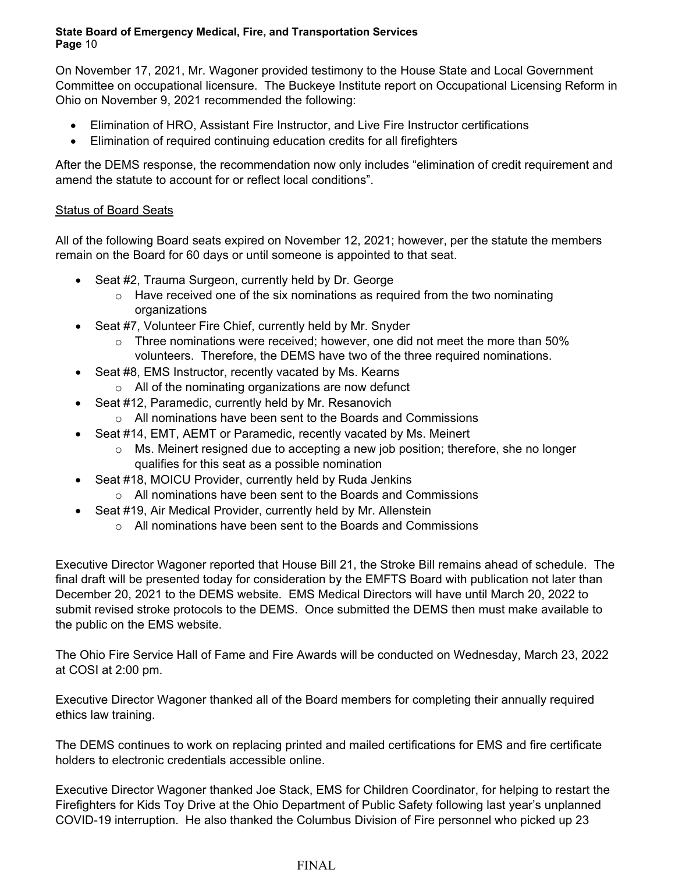On November 17, 2021, Mr. Wagoner provided testimony to the House State and Local Government Committee on occupational licensure. The Buckeye Institute report on Occupational Licensing Reform in Ohio on November 9, 2021 recommended the following:

- Elimination of HRO, Assistant Fire Instructor, and Live Fire Instructor certifications
- Elimination of required continuing education credits for all firefighters

After the DEMS response, the recommendation now only includes "elimination of credit requirement and amend the statute to account for or reflect local conditions".

# Status of Board Seats

All of the following Board seats expired on November 12, 2021; however, per the statute the members remain on the Board for 60 days or until someone is appointed to that seat.

- Seat #2, Trauma Surgeon, currently held by Dr. George
	- $\circ$  Have received one of the six nominations as required from the two nominating organizations
- Seat #7, Volunteer Fire Chief, currently held by Mr. Snyder
	- $\circ$  Three nominations were received; however, one did not meet the more than 50% volunteers. Therefore, the DEMS have two of the three required nominations.
- Seat #8, EMS Instructor, recently vacated by Ms, Kearns
	- o All of the nominating organizations are now defunct
- Seat #12, Paramedic, currently held by Mr. Resanovich
	- o All nominations have been sent to the Boards and Commissions
- Seat #14, EMT, AEMT or Paramedic, recently vacated by Ms. Meinert
	- o Ms. Meinert resigned due to accepting a new job position; therefore, she no longer qualifies for this seat as a possible nomination
- Seat #18, MOICU Provider, currently held by Ruda Jenkins
	- o All nominations have been sent to the Boards and Commissions
- Seat #19, Air Medical Provider, currently held by Mr. Allenstein
	- o All nominations have been sent to the Boards and Commissions

Executive Director Wagoner reported that House Bill 21, the Stroke Bill remains ahead of schedule. The final draft will be presented today for consideration by the EMFTS Board with publication not later than December 20, 2021 to the DEMS website. EMS Medical Directors will have until March 20, 2022 to submit revised stroke protocols to the DEMS. Once submitted the DEMS then must make available to the public on the EMS website.

The Ohio Fire Service Hall of Fame and Fire Awards will be conducted on Wednesday, March 23, 2022 at COSI at 2:00 pm.

Executive Director Wagoner thanked all of the Board members for completing their annually required ethics law training.

The DEMS continues to work on replacing printed and mailed certifications for EMS and fire certificate holders to electronic credentials accessible online.

Executive Director Wagoner thanked Joe Stack, EMS for Children Coordinator, for helping to restart the Firefighters for Kids Toy Drive at the Ohio Department of Public Safety following last year's unplanned COVID-19 interruption. He also thanked the Columbus Division of Fire personnel who picked up 23

#### FINAL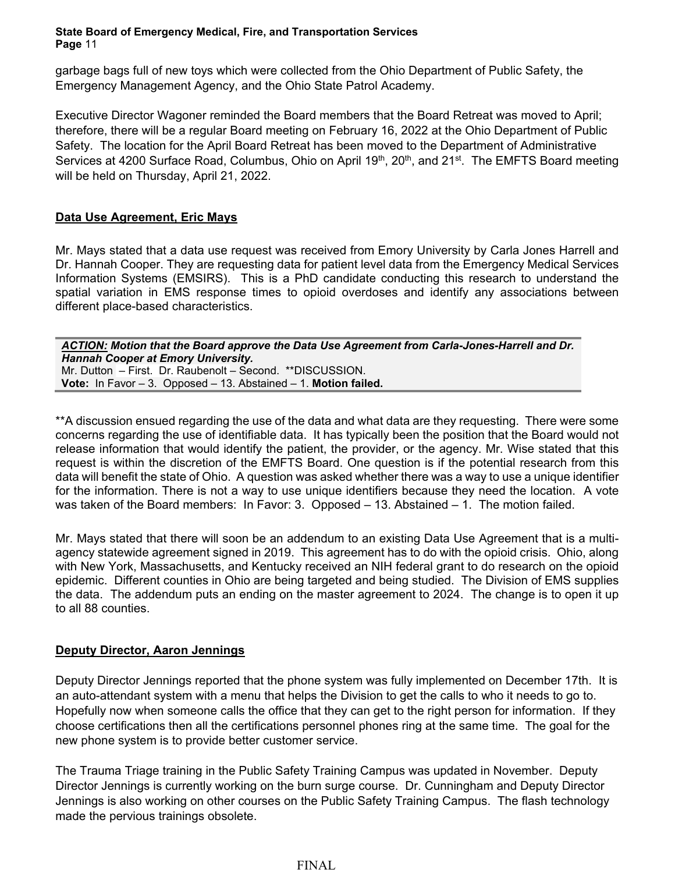garbage bags full of new toys which were collected from the Ohio Department of Public Safety, the Emergency Management Agency, and the Ohio State Patrol Academy.

Executive Director Wagoner reminded the Board members that the Board Retreat was moved to April; therefore, there will be a regular Board meeting on February 16, 2022 at the Ohio Department of Public Safety. The location for the April Board Retreat has been moved to the Department of Administrative Services at 4200 Surface Road, Columbus, Ohio on April 19th, 20th, and 21st. The EMFTS Board meeting will be held on Thursday, April 21, 2022.

# **Data Use Agreement, Eric Mays**

Mr. Mays stated that a data use request was received from Emory University by Carla Jones Harrell and Dr. Hannah Cooper. They are requesting data for patient level data from the Emergency Medical Services Information Systems (EMSIRS). This is a PhD candidate conducting this research to understand the spatial variation in EMS response times to opioid overdoses and identify any associations between different place-based characteristics.

*ACTION: Motion that the Board approve the Data Use Agreement from Carla-Jones-Harrell and Dr. Hannah Cooper at Emory University.* Mr. Dutton – First. Dr. Raubenolt – Second. \*\*DISCUSSION. **Vote:** In Favor – 3. Opposed – 13. Abstained – 1. **Motion failed.**

\*\*A discussion ensued regarding the use of the data and what data are they requesting. There were some concerns regarding the use of identifiable data. It has typically been the position that the Board would not release information that would identify the patient, the provider, or the agency. Mr. Wise stated that this request is within the discretion of the EMFTS Board. One question is if the potential research from this data will benefit the state of Ohio. A question was asked whether there was a way to use a unique identifier for the information. There is not a way to use unique identifiers because they need the location. A vote was taken of the Board members: In Favor: 3. Opposed – 13. Abstained – 1. The motion failed.

Mr. Mays stated that there will soon be an addendum to an existing Data Use Agreement that is a multiagency statewide agreement signed in 2019. This agreement has to do with the opioid crisis. Ohio, along with New York, Massachusetts, and Kentucky received an NIH federal grant to do research on the opioid epidemic. Different counties in Ohio are being targeted and being studied. The Division of EMS supplies the data. The addendum puts an ending on the master agreement to 2024. The change is to open it up to all 88 counties.

## **Deputy Director, Aaron Jennings**

Deputy Director Jennings reported that the phone system was fully implemented on December 17th. It is an auto-attendant system with a menu that helps the Division to get the calls to who it needs to go to. Hopefully now when someone calls the office that they can get to the right person for information. If they choose certifications then all the certifications personnel phones ring at the same time. The goal for the new phone system is to provide better customer service.

The Trauma Triage training in the Public Safety Training Campus was updated in November. Deputy Director Jennings is currently working on the burn surge course. Dr. Cunningham and Deputy Director Jennings is also working on other courses on the Public Safety Training Campus. The flash technology made the pervious trainings obsolete.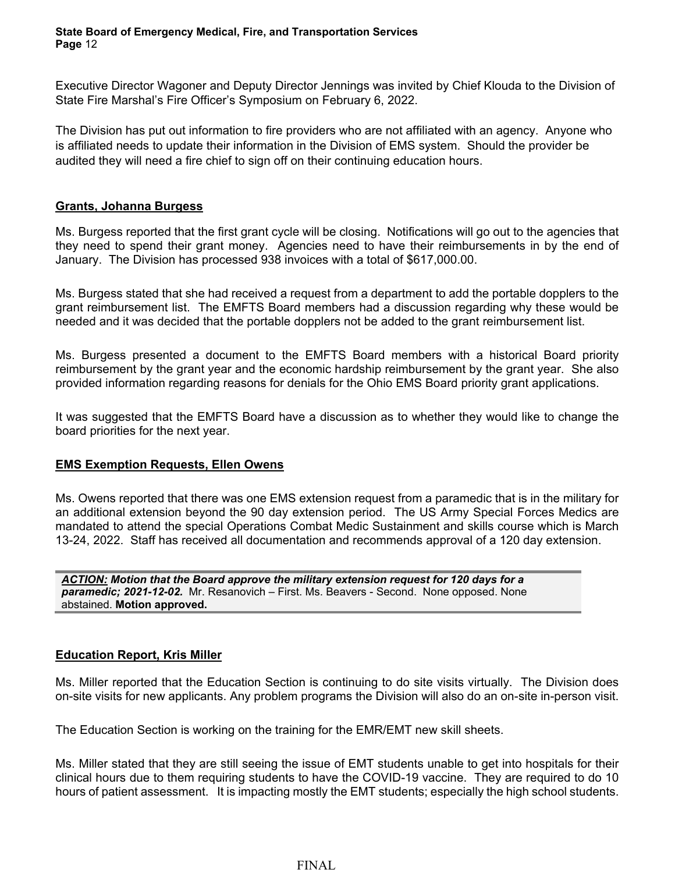Executive Director Wagoner and Deputy Director Jennings was invited by Chief Klouda to the Division of State Fire Marshal's Fire Officer's Symposium on February 6, 2022.

The Division has put out information to fire providers who are not affiliated with an agency. Anyone who is affiliated needs to update their information in the Division of EMS system. Should the provider be audited they will need a fire chief to sign off on their continuing education hours.

### **Grants, Johanna Burgess**

Ms. Burgess reported that the first grant cycle will be closing. Notifications will go out to the agencies that they need to spend their grant money. Agencies need to have their reimbursements in by the end of January. The Division has processed 938 invoices with a total of \$617,000.00.

Ms. Burgess stated that she had received a request from a department to add the portable dopplers to the grant reimbursement list. The EMFTS Board members had a discussion regarding why these would be needed and it was decided that the portable dopplers not be added to the grant reimbursement list.

Ms. Burgess presented a document to the EMFTS Board members with a historical Board priority reimbursement by the grant year and the economic hardship reimbursement by the grant year. She also provided information regarding reasons for denials for the Ohio EMS Board priority grant applications.

It was suggested that the EMFTS Board have a discussion as to whether they would like to change the board priorities for the next year.

#### **EMS Exemption Requests, Ellen Owens**

Ms. Owens reported that there was one EMS extension request from a paramedic that is in the military for an additional extension beyond the 90 day extension period. The US Army Special Forces Medics are mandated to attend the special Operations Combat Medic Sustainment and skills course which is March 13-24, 2022. Staff has received all documentation and recommends approval of a 120 day extension.

*ACTION: Motion that the Board approve the military extension request for 120 days for a paramedic; 2021-12-02.* Mr. Resanovich – First. Ms. Beavers - Second. None opposed. None abstained. **Motion approved.**

#### **Education Report, Kris Miller**

Ms. Miller reported that the Education Section is continuing to do site visits virtually. The Division does on-site visits for new applicants. Any problem programs the Division will also do an on-site in-person visit.

The Education Section is working on the training for the EMR/EMT new skill sheets.

Ms. Miller stated that they are still seeing the issue of EMT students unable to get into hospitals for their clinical hours due to them requiring students to have the COVID-19 vaccine. They are required to do 10 hours of patient assessment. It is impacting mostly the EMT students; especially the high school students.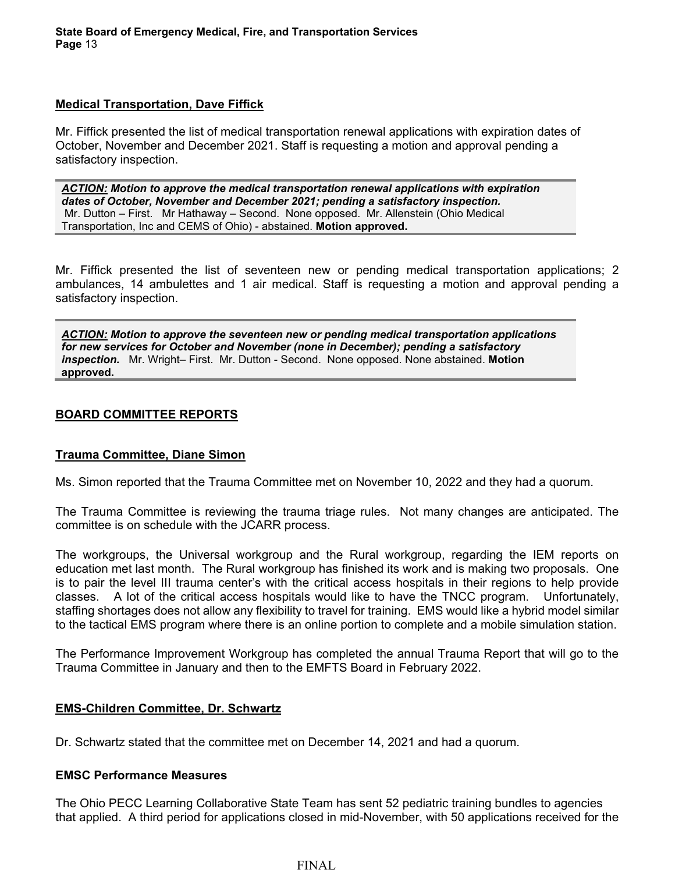### **Medical Transportation, Dave Fiffick**

Mr. Fiffick presented the list of medical transportation renewal applications with expiration dates of October, November and December 2021. Staff is requesting a motion and approval pending a satisfactory inspection.

*ACTION: Motion to approve the medical transportation renewal applications with expiration dates of October, November and December 2021; pending a satisfactory inspection.* Mr. Dutton – First. Mr Hathaway – Second. None opposed. Mr. Allenstein (Ohio Medical Transportation, Inc and CEMS of Ohio) - abstained. **Motion approved.**

Mr. Fiffick presented the list of seventeen new or pending medical transportation applications; 2 ambulances, 14 ambulettes and 1 air medical. Staff is requesting a motion and approval pending a satisfactory inspection.

*ACTION: Motion to approve the seventeen new or pending medical transportation applications for new services for October and November (none in December); pending a satisfactory inspection.* Mr. Wright– First. Mr. Dutton - Second. None opposed. None abstained. **Motion approved.**

### **BOARD COMMITTEE REPORTS**

## **Trauma Committee, Diane Simon**

Ms. Simon reported that the Trauma Committee met on November 10, 2022 and they had a quorum.

The Trauma Committee is reviewing the trauma triage rules. Not many changes are anticipated. The committee is on schedule with the JCARR process.

The workgroups, the Universal workgroup and the Rural workgroup, regarding the IEM reports on education met last month. The Rural workgroup has finished its work and is making two proposals. One is to pair the level III trauma center's with the critical access hospitals in their regions to help provide classes. A lot of the critical access hospitals would like to have the TNCC program. Unfortunately, staffing shortages does not allow any flexibility to travel for training. EMS would like a hybrid model similar to the tactical EMS program where there is an online portion to complete and a mobile simulation station.

The Performance Improvement Workgroup has completed the annual Trauma Report that will go to the Trauma Committee in January and then to the EMFTS Board in February 2022.

#### **EMS-Children Committee, Dr. Schwartz**

Dr. Schwartz stated that the committee met on December 14, 2021 and had a quorum.

#### **EMSC Performance Measures**

The Ohio PECC Learning Collaborative State Team has sent 52 pediatric training bundles to agencies that applied. A third period for applications closed in mid-November, with 50 applications received for the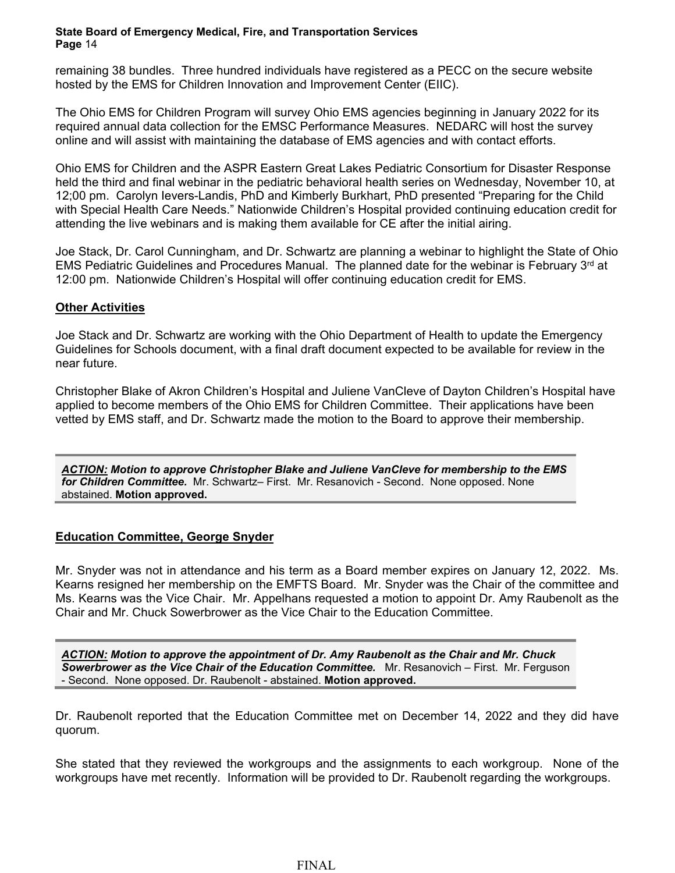remaining 38 bundles. Three hundred individuals have registered as a PECC on the secure website hosted by the EMS for Children Innovation and Improvement Center (EIIC).

The Ohio EMS for Children Program will survey Ohio EMS agencies beginning in January 2022 for its required annual data collection for the EMSC Performance Measures. NEDARC will host the survey online and will assist with maintaining the database of EMS agencies and with contact efforts.

Ohio EMS for Children and the ASPR Eastern Great Lakes Pediatric Consortium for Disaster Response held the third and final webinar in the pediatric behavioral health series on Wednesday, November 10, at 12;00 pm. Carolyn Ievers-Landis, PhD and Kimberly Burkhart, PhD presented "Preparing for the Child with Special Health Care Needs." Nationwide Children's Hospital provided continuing education credit for attending the live webinars and is making them available for CE after the initial airing.

Joe Stack, Dr. Carol Cunningham, and Dr. Schwartz are planning a webinar to highlight the State of Ohio EMS Pediatric Guidelines and Procedures Manual. The planned date for the webinar is February  $3<sup>rd</sup>$  at 12:00 pm. Nationwide Children's Hospital will offer continuing education credit for EMS.

## **Other Activities**

Joe Stack and Dr. Schwartz are working with the Ohio Department of Health to update the Emergency Guidelines for Schools document, with a final draft document expected to be available for review in the near future.

Christopher Blake of Akron Children's Hospital and Juliene VanCleve of Dayton Children's Hospital have applied to become members of the Ohio EMS for Children Committee. Their applications have been vetted by EMS staff, and Dr. Schwartz made the motion to the Board to approve their membership.

*ACTION: Motion to approve Christopher Blake and Juliene VanCleve for membership to the EMS for Children Committee.* Mr. Schwartz– First. Mr. Resanovich - Second. None opposed. None abstained. **Motion approved.**

## **Education Committee, George Snyder**

Mr. Snyder was not in attendance and his term as a Board member expires on January 12, 2022. Ms. Kearns resigned her membership on the EMFTS Board. Mr. Snyder was the Chair of the committee and Ms. Kearns was the Vice Chair. Mr. Appelhans requested a motion to appoint Dr. Amy Raubenolt as the Chair and Mr. Chuck Sowerbrower as the Vice Chair to the Education Committee.

*ACTION: Motion to approve the appointment of Dr. Amy Raubenolt as the Chair and Mr. Chuck Sowerbrower as the Vice Chair of the Education Committee.* Mr. Resanovich – First. Mr. Ferguson - Second. None opposed. Dr. Raubenolt - abstained. **Motion approved.**

Dr. Raubenolt reported that the Education Committee met on December 14, 2022 and they did have quorum.

She stated that they reviewed the workgroups and the assignments to each workgroup. None of the workgroups have met recently. Information will be provided to Dr. Raubenolt regarding the workgroups.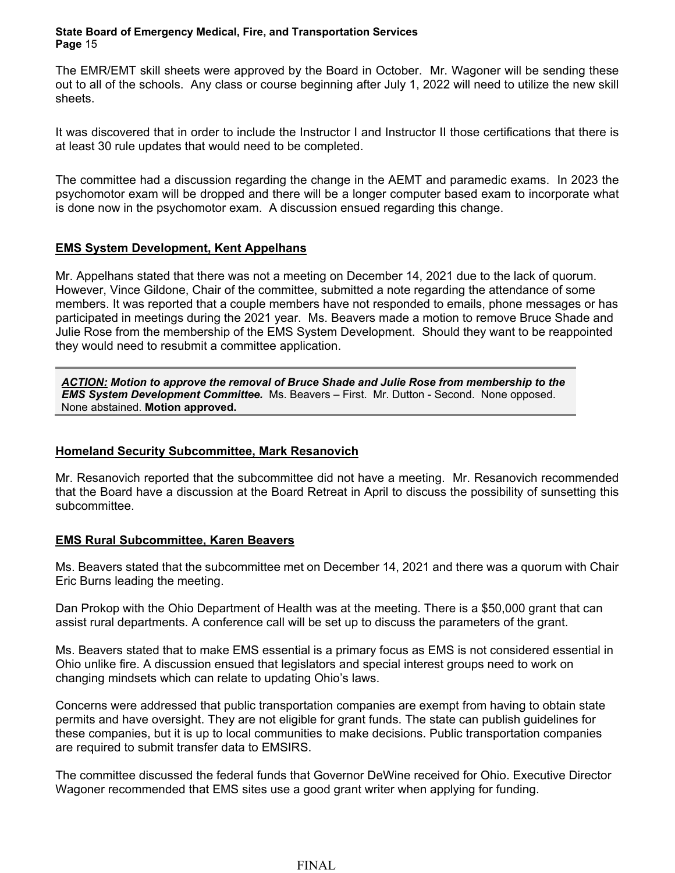The EMR/EMT skill sheets were approved by the Board in October. Mr. Wagoner will be sending these out to all of the schools. Any class or course beginning after July 1, 2022 will need to utilize the new skill sheets.

It was discovered that in order to include the Instructor I and Instructor II those certifications that there is at least 30 rule updates that would need to be completed.

The committee had a discussion regarding the change in the AEMT and paramedic exams. In 2023 the psychomotor exam will be dropped and there will be a longer computer based exam to incorporate what is done now in the psychomotor exam. A discussion ensued regarding this change.

## **EMS System Development, Kent Appelhans**

Mr. Appelhans stated that there was not a meeting on December 14, 2021 due to the lack of quorum. However, Vince Gildone, Chair of the committee, submitted a note regarding the attendance of some members. It was reported that a couple members have not responded to emails, phone messages or has participated in meetings during the 2021 year. Ms. Beavers made a motion to remove Bruce Shade and Julie Rose from the membership of the EMS System Development. Should they want to be reappointed they would need to resubmit a committee application.

*ACTION: Motion to approve the removal of Bruce Shade and Julie Rose from membership to the EMS System Development Committee.* Ms. Beavers – First. Mr. Dutton - Second. None opposed. None abstained. **Motion approved.**

## **Homeland Security Subcommittee, Mark Resanovich**

Mr. Resanovich reported that the subcommittee did not have a meeting. Mr. Resanovich recommended that the Board have a discussion at the Board Retreat in April to discuss the possibility of sunsetting this subcommittee.

## **EMS Rural Subcommittee, Karen Beavers**

Ms. Beavers stated that the subcommittee met on December 14, 2021 and there was a quorum with Chair Eric Burns leading the meeting.

Dan Prokop with the Ohio Department of Health was at the meeting. There is a \$50,000 grant that can assist rural departments. A conference call will be set up to discuss the parameters of the grant.

Ms. Beavers stated that to make EMS essential is a primary focus as EMS is not considered essential in Ohio unlike fire. A discussion ensued that legislators and special interest groups need to work on changing mindsets which can relate to updating Ohio's laws.

Concerns were addressed that public transportation companies are exempt from having to obtain state permits and have oversight. They are not eligible for grant funds. The state can publish guidelines for these companies, but it is up to local communities to make decisions. Public transportation companies are required to submit transfer data to EMSIRS.

The committee discussed the federal funds that Governor DeWine received for Ohio. Executive Director Wagoner recommended that EMS sites use a good grant writer when applying for funding.

# FINAL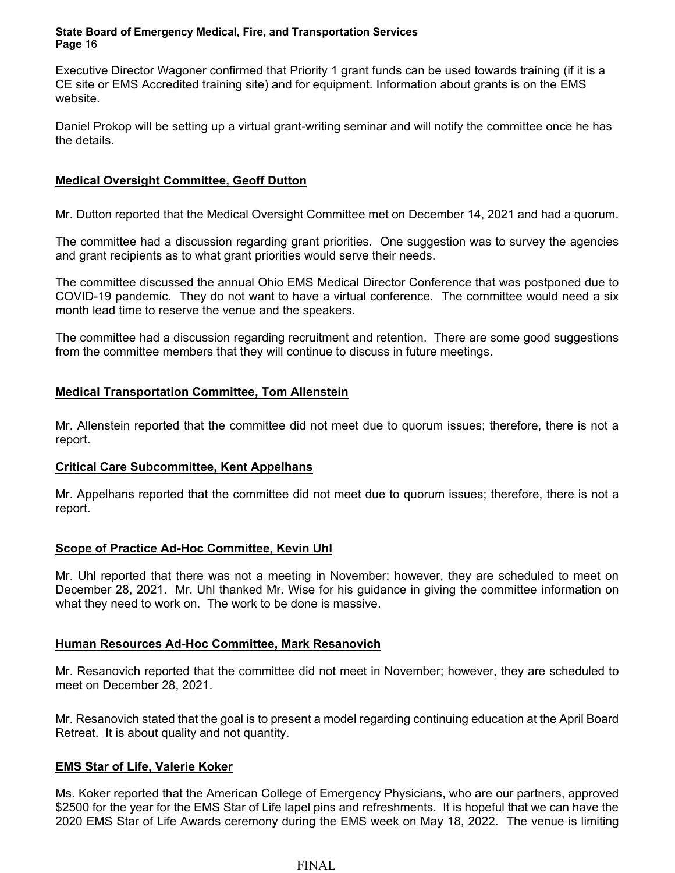Executive Director Wagoner confirmed that Priority 1 grant funds can be used towards training (if it is a CE site or EMS Accredited training site) and for equipment. Information about grants is on the EMS website.

Daniel Prokop will be setting up a virtual grant-writing seminar and will notify the committee once he has the details.

## **Medical Oversight Committee, Geoff Dutton**

Mr. Dutton reported that the Medical Oversight Committee met on December 14, 2021 and had a quorum.

The committee had a discussion regarding grant priorities. One suggestion was to survey the agencies and grant recipients as to what grant priorities would serve their needs.

The committee discussed the annual Ohio EMS Medical Director Conference that was postponed due to COVID-19 pandemic. They do not want to have a virtual conference. The committee would need a six month lead time to reserve the venue and the speakers.

The committee had a discussion regarding recruitment and retention. There are some good suggestions from the committee members that they will continue to discuss in future meetings.

## **Medical Transportation Committee, Tom Allenstein**

Mr. Allenstein reported that the committee did not meet due to quorum issues; therefore, there is not a report.

## **Critical Care Subcommittee, Kent Appelhans**

Mr. Appelhans reported that the committee did not meet due to quorum issues; therefore, there is not a report.

## **Scope of Practice Ad-Hoc Committee, Kevin Uhl**

Mr. Uhl reported that there was not a meeting in November; however, they are scheduled to meet on December 28, 2021. Mr. Uhl thanked Mr. Wise for his guidance in giving the committee information on what they need to work on. The work to be done is massive.

## **Human Resources Ad-Hoc Committee, Mark Resanovich**

Mr. Resanovich reported that the committee did not meet in November; however, they are scheduled to meet on December 28, 2021.

Mr. Resanovich stated that the goal is to present a model regarding continuing education at the April Board Retreat. It is about quality and not quantity.

## **EMS Star of Life, Valerie Koker**

Ms. Koker reported that the American College of Emergency Physicians, who are our partners, approved \$2500 for the year for the EMS Star of Life lapel pins and refreshments. It is hopeful that we can have the 2020 EMS Star of Life Awards ceremony during the EMS week on May 18, 2022. The venue is limiting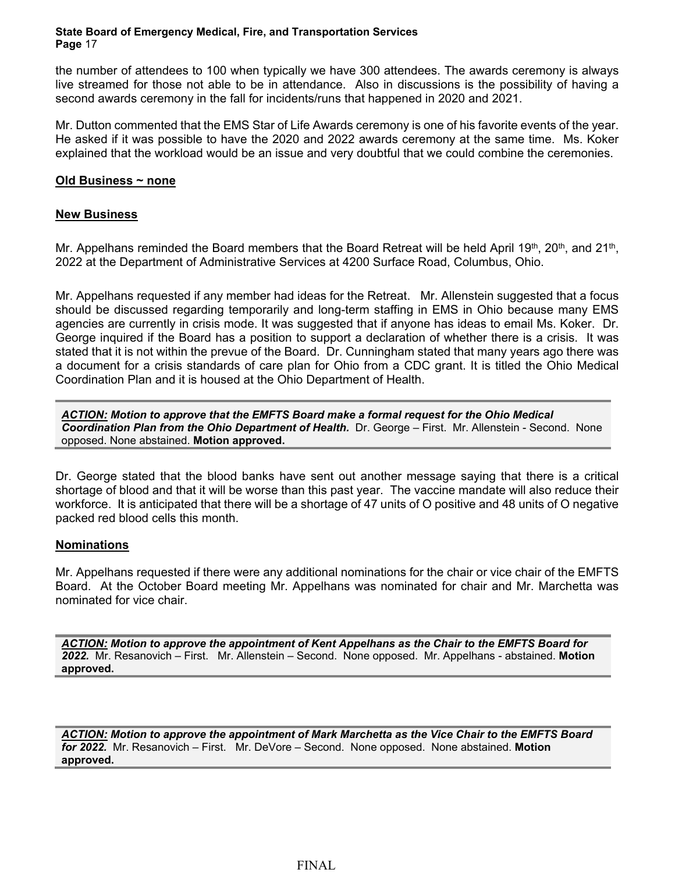the number of attendees to 100 when typically we have 300 attendees. The awards ceremony is always live streamed for those not able to be in attendance. Also in discussions is the possibility of having a second awards ceremony in the fall for incidents/runs that happened in 2020 and 2021.

Mr. Dutton commented that the EMS Star of Life Awards ceremony is one of his favorite events of the year. He asked if it was possible to have the 2020 and 2022 awards ceremony at the same time. Ms. Koker explained that the workload would be an issue and very doubtful that we could combine the ceremonies.

### **Old Business ~ none**

### **New Business**

Mr. Appelhans reminded the Board members that the Board Retreat will be held April 19<sup>th</sup>, 20<sup>th</sup>, and 21<sup>th</sup>, 2022 at the Department of Administrative Services at 4200 Surface Road, Columbus, Ohio.

Mr. Appelhans requested if any member had ideas for the Retreat. Mr. Allenstein suggested that a focus should be discussed regarding temporarily and long-term staffing in EMS in Ohio because many EMS agencies are currently in crisis mode. It was suggested that if anyone has ideas to email Ms. Koker. Dr. George inquired if the Board has a position to support a declaration of whether there is a crisis. It was stated that it is not within the prevue of the Board. Dr. Cunningham stated that many years ago there was a document for a crisis standards of care plan for Ohio from a CDC grant. It is titled the Ohio Medical Coordination Plan and it is housed at the Ohio Department of Health.

*ACTION: Motion to approve that the EMFTS Board make a formal request for the Ohio Medical Coordination Plan from the Ohio Department of Health.* Dr. George – First. Mr. Allenstein - Second. None opposed. None abstained. **Motion approved.**

Dr. George stated that the blood banks have sent out another message saying that there is a critical shortage of blood and that it will be worse than this past year. The vaccine mandate will also reduce their workforce. It is anticipated that there will be a shortage of 47 units of O positive and 48 units of O negative packed red blood cells this month.

## **Nominations**

Mr. Appelhans requested if there were any additional nominations for the chair or vice chair of the EMFTS Board. At the October Board meeting Mr. Appelhans was nominated for chair and Mr. Marchetta was nominated for vice chair.

*ACTION: Motion to approve the appointment of Kent Appelhans as the Chair to the EMFTS Board for 2022.* Mr. Resanovich – First. Mr. Allenstein – Second. None opposed. Mr. Appelhans - abstained. **Motion approved.**

*ACTION: Motion to approve the appointment of Mark Marchetta as the Vice Chair to the EMFTS Board for 2022.* Mr. Resanovich – First. Mr. DeVore – Second. None opposed. None abstained. **Motion approved.**